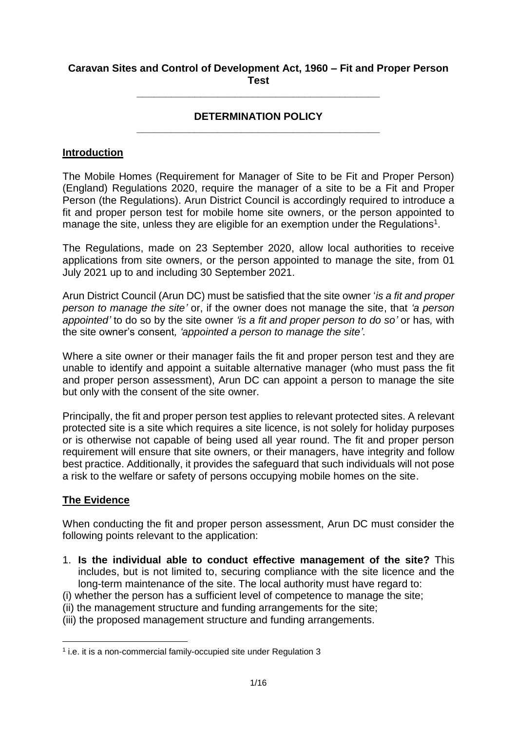## **Caravan Sites and Control of Development Act, 1960 – Fit and Proper Person Test**

**\_\_\_\_\_\_\_\_\_\_\_\_\_\_\_\_\_\_\_\_\_\_\_\_\_\_\_\_\_\_\_\_\_\_\_\_\_\_\_\_\_\_**

## **DETERMINATION POLICY \_\_\_\_\_\_\_\_\_\_\_\_\_\_\_\_\_\_\_\_\_\_\_\_\_\_\_\_\_\_\_\_\_\_\_\_\_\_\_\_\_\_**

## **Introduction**

The Mobile Homes (Requirement for Manager of Site to be Fit and Proper Person) (England) Regulations 2020, require the manager of a site to be a Fit and Proper Person (the Regulations). Arun District Council is accordingly required to introduce a fit and proper person test for mobile home site owners, or the person appointed to manage the site, unless they are eligible for an exemption under the Regulations<sup>1</sup>.

The Regulations, made on 23 September 2020, allow local authorities to receive applications from site owners, or the person appointed to manage the site, from 01 July 2021 up to and including 30 September 2021.

Arun District Council (Arun DC) must be satisfied that the site owner '*is a fit and proper person to manage the site'* or, if the owner does not manage the site, that *'a person appointed'* to do so by the site owner *'is a fit and proper person to do so'* or has*,* with the site owner's consent*, 'appointed a person to manage the site'*.

Where a site owner or their manager fails the fit and proper person test and they are unable to identify and appoint a suitable alternative manager (who must pass the fit and proper person assessment), Arun DC can appoint a person to manage the site but only with the consent of the site owner.

Principally, the fit and proper person test applies to relevant protected sites. A relevant protected site is a site which requires a site licence, is not solely for holiday purposes or is otherwise not capable of being used all year round. The fit and proper person requirement will ensure that site owners, or their managers, have integrity and follow best practice. Additionally, it provides the safeguard that such individuals will not pose a risk to the welfare or safety of persons occupying mobile homes on the site.

## **The Evidence**

1

When conducting the fit and proper person assessment, Arun DC must consider the following points relevant to the application:

- 1. **Is the individual able to conduct effective management of the site?** This includes, but is not limited to, securing compliance with the site licence and the long-term maintenance of the site. The local authority must have regard to:
- (i) whether the person has a sufficient level of competence to manage the site;
- (ii) the management structure and funding arrangements for the site;
- (iii) the proposed management structure and funding arrangements.

<sup>&</sup>lt;sup>1</sup> i.e. it is a non-commercial family-occupied site under Regulation 3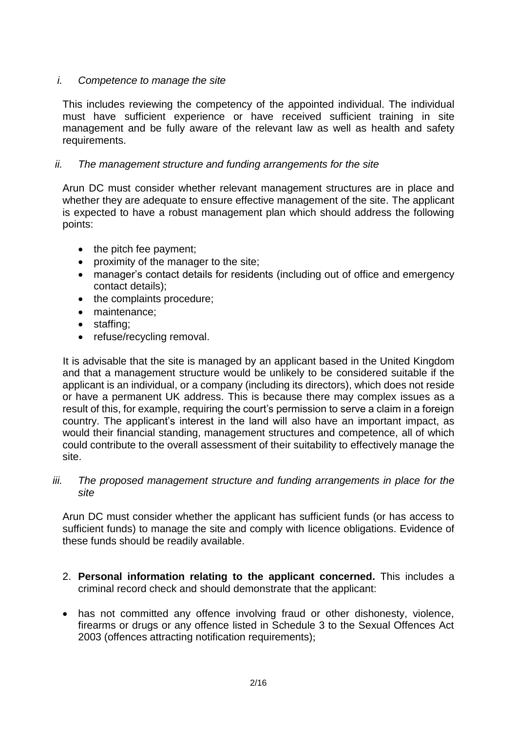## *i. Competence to manage the site*

This includes reviewing the competency of the appointed individual. The individual must have sufficient experience or have received sufficient training in site management and be fully aware of the relevant law as well as health and safety requirements.

## *ii. The management structure and funding arrangements for the site*

Arun DC must consider whether relevant management structures are in place and whether they are adequate to ensure effective management of the site. The applicant is expected to have a robust management plan which should address the following points:

- $\bullet$  the pitch fee payment;
- proximity of the manager to the site;
- manager's contact details for residents (including out of office and emergency contact details);
- the complaints procedure;
- maintenance:
- staffing:
- refuse/recycling removal.

It is advisable that the site is managed by an applicant based in the United Kingdom and that a management structure would be unlikely to be considered suitable if the applicant is an individual, or a company (including its directors), which does not reside or have a permanent UK address. This is because there may complex issues as a result of this, for example, requiring the court's permission to serve a claim in a foreign country. The applicant's interest in the land will also have an important impact, as would their financial standing, management structures and competence, all of which could contribute to the overall assessment of their suitability to effectively manage the site.

## *iii. The proposed management structure and funding arrangements in place for the site*

Arun DC must consider whether the applicant has sufficient funds (or has access to sufficient funds) to manage the site and comply with licence obligations. Evidence of these funds should be readily available.

- 2. **Personal information relating to the applicant concerned.** This includes a criminal record check and should demonstrate that the applicant:
- has not committed any offence involving fraud or other dishonesty, violence, firearms or drugs or any offence listed in Schedule 3 to the Sexual Offences Act 2003 (offences attracting notification requirements);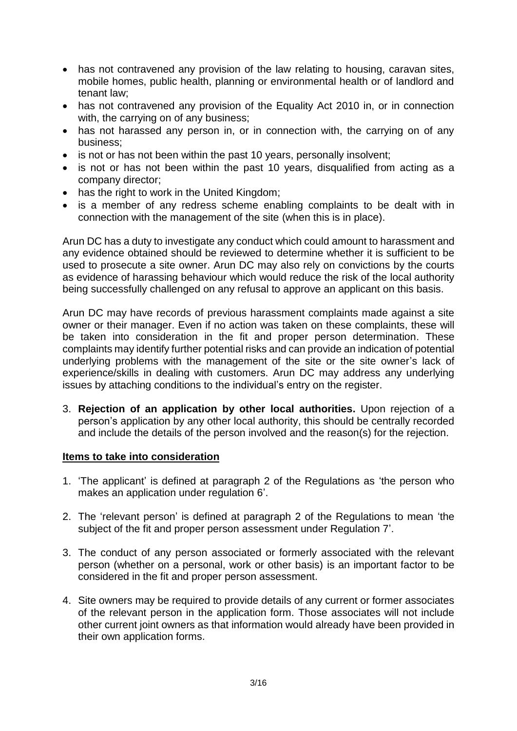- has not contravened any provision of the law relating to housing, caravan sites, mobile homes, public health, planning or environmental health or of landlord and tenant law;
- has not contravened any provision of the Equality Act 2010 in, or in connection with, the carrying on of any business;
- has not harassed any person in, or in connection with, the carrying on of any business;
- is not or has not been within the past 10 years, personally insolvent;
- is not or has not been within the past 10 years, disqualified from acting as a company director;
- has the right to work in the United Kingdom;
- is a member of any redress scheme enabling complaints to be dealt with in connection with the management of the site (when this is in place).

Arun DC has a duty to investigate any conduct which could amount to harassment and any evidence obtained should be reviewed to determine whether it is sufficient to be used to prosecute a site owner. Arun DC may also rely on convictions by the courts as evidence of harassing behaviour which would reduce the risk of the local authority being successfully challenged on any refusal to approve an applicant on this basis.

Arun DC may have records of previous harassment complaints made against a site owner or their manager. Even if no action was taken on these complaints, these will be taken into consideration in the fit and proper person determination. These complaints may identify further potential risks and can provide an indication of potential underlying problems with the management of the site or the site owner's lack of experience/skills in dealing with customers. Arun DC may address any underlying issues by attaching conditions to the individual's entry on the register.

3. **Rejection of an application by other local authorities.** Upon rejection of a person's application by any other local authority, this should be centrally recorded and include the details of the person involved and the reason(s) for the rejection.

## **Items to take into consideration**

- 1. 'The applicant' is defined at paragraph 2 of the Regulations as 'the person who makes an application under regulation 6'.
- 2. The 'relevant person' is defined at paragraph 2 of the Regulations to mean 'the subject of the fit and proper person assessment under Regulation 7'.
- 3. The conduct of any person associated or formerly associated with the relevant person (whether on a personal, work or other basis) is an important factor to be considered in the fit and proper person assessment.
- 4. Site owners may be required to provide details of any current or former associates of the relevant person in the application form. Those associates will not include other current joint owners as that information would already have been provided in their own application forms.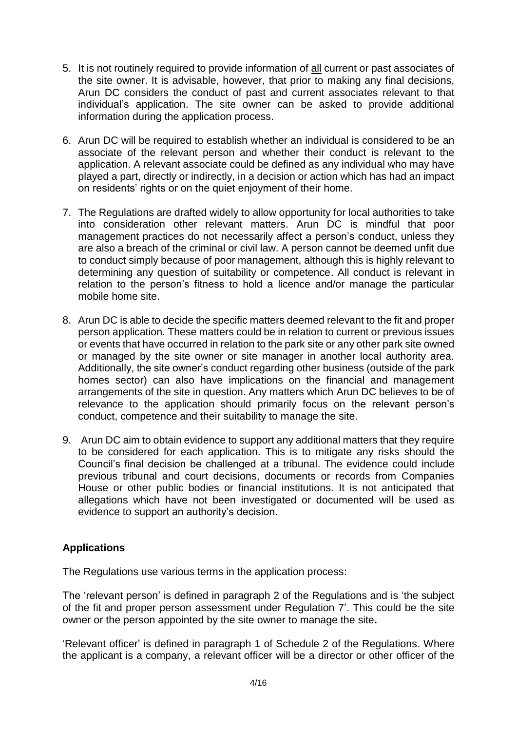- 5. It is not routinely required to provide information of all current or past associates of the site owner. It is advisable, however, that prior to making any final decisions, Arun DC considers the conduct of past and current associates relevant to that individual's application. The site owner can be asked to provide additional information during the application process.
- 6. Arun DC will be required to establish whether an individual is considered to be an associate of the relevant person and whether their conduct is relevant to the application. A relevant associate could be defined as any individual who may have played a part, directly or indirectly, in a decision or action which has had an impact on residents' rights or on the quiet enjoyment of their home.
- 7. The Regulations are drafted widely to allow opportunity for local authorities to take into consideration other relevant matters. Arun DC is mindful that poor management practices do not necessarily affect a person's conduct, unless they are also a breach of the criminal or civil law. A person cannot be deemed unfit due to conduct simply because of poor management, although this is highly relevant to determining any question of suitability or competence. All conduct is relevant in relation to the person's fitness to hold a licence and/or manage the particular mobile home site.
- 8. Arun DC is able to decide the specific matters deemed relevant to the fit and proper person application. These matters could be in relation to current or previous issues or events that have occurred in relation to the park site or any other park site owned or managed by the site owner or site manager in another local authority area. Additionally, the site owner's conduct regarding other business (outside of the park homes sector) can also have implications on the financial and management arrangements of the site in question. Any matters which Arun DC believes to be of relevance to the application should primarily focus on the relevant person's conduct, competence and their suitability to manage the site.
- 9. Arun DC aim to obtain evidence to support any additional matters that they require to be considered for each application. This is to mitigate any risks should the Council's final decision be challenged at a tribunal. The evidence could include previous tribunal and court decisions, documents or records from Companies House or other public bodies or financial institutions. It is not anticipated that allegations which have not been investigated or documented will be used as evidence to support an authority's decision.

# **Applications**

The Regulations use various terms in the application process:

The 'relevant person' is defined in paragraph 2 of the Regulations and is 'the subject of the fit and proper person assessment under Regulation 7'. This could be the site owner or the person appointed by the site owner to manage the site**.** 

'Relevant officer' is defined in paragraph 1 of Schedule 2 of the Regulations. Where the applicant is a company, a relevant officer will be a director or other officer of the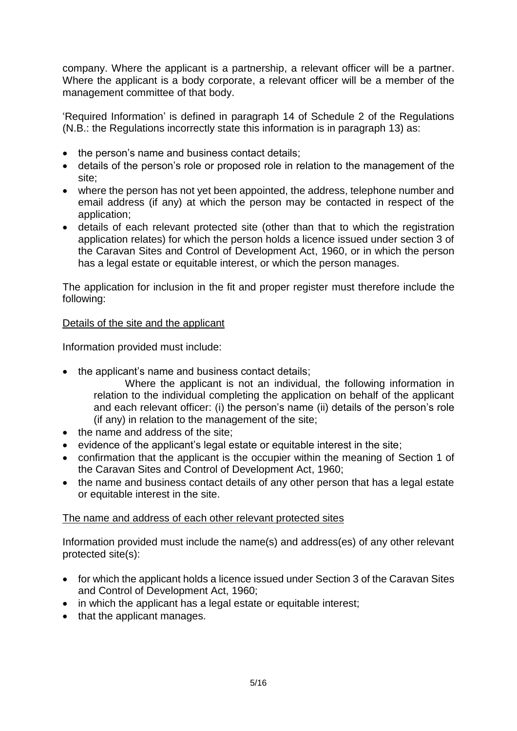company. Where the applicant is a partnership, a relevant officer will be a partner. Where the applicant is a body corporate, a relevant officer will be a member of the management committee of that body.

'Required Information' is defined in paragraph 14 of Schedule 2 of the Regulations (N.B.: the Regulations incorrectly state this information is in paragraph 13) as:

- the person's name and business contact details;
- details of the person's role or proposed role in relation to the management of the site;
- where the person has not yet been appointed, the address, telephone number and email address (if any) at which the person may be contacted in respect of the application;
- details of each relevant protected site (other than that to which the registration application relates) for which the person holds a licence issued under section 3 of the Caravan Sites and Control of Development Act, 1960, or in which the person has a legal estate or equitable interest, or which the person manages.

The application for inclusion in the fit and proper register must therefore include the following:

# Details of the site and the applicant

Information provided must include:

- the applicant's name and business contact details:
	- Where the applicant is not an individual, the following information in relation to the individual completing the application on behalf of the applicant and each relevant officer: (i) the person's name (ii) details of the person's role (if any) in relation to the management of the site;
- the name and address of the site;
- evidence of the applicant's legal estate or equitable interest in the site;
- confirmation that the applicant is the occupier within the meaning of Section 1 of the Caravan Sites and Control of Development Act, 1960;
- the name and business contact details of any other person that has a legal estate or equitable interest in the site.

# The name and address of each other relevant protected sites

Information provided must include the name(s) and address(es) of any other relevant protected site(s):

- for which the applicant holds a licence issued under Section 3 of the Caravan Sites and Control of Development Act, 1960;
- in which the applicant has a legal estate or equitable interest;
- that the applicant manages.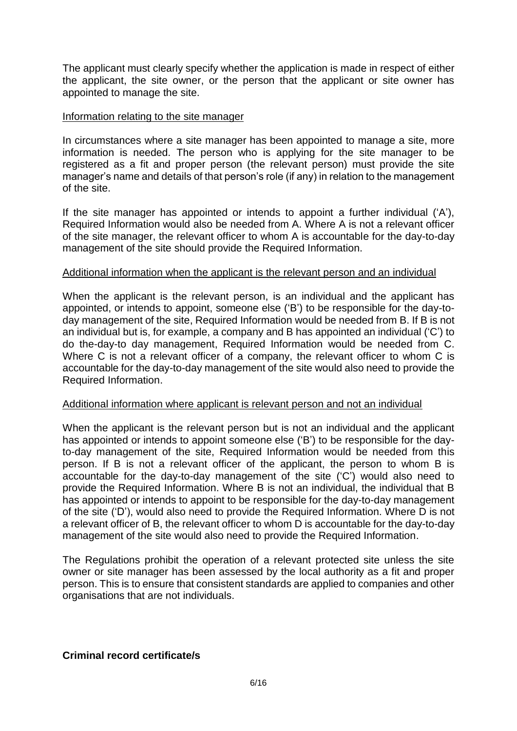The applicant must clearly specify whether the application is made in respect of either the applicant, the site owner, or the person that the applicant or site owner has appointed to manage the site.

### Information relating to the site manager

In circumstances where a site manager has been appointed to manage a site, more information is needed. The person who is applying for the site manager to be registered as a fit and proper person (the relevant person) must provide the site manager's name and details of that person's role (if any) in relation to the management of the site.

If the site manager has appointed or intends to appoint a further individual ('A'), Required Information would also be needed from A. Where A is not a relevant officer of the site manager, the relevant officer to whom A is accountable for the day-to-day management of the site should provide the Required Information.

### Additional information when the applicant is the relevant person and an individual

When the applicant is the relevant person, is an individual and the applicant has appointed, or intends to appoint, someone else ('B') to be responsible for the day-today management of the site, Required Information would be needed from B. If B is not an individual but is, for example, a company and B has appointed an individual ('C') to do the-day-to day management, Required Information would be needed from C. Where C is not a relevant officer of a company, the relevant officer to whom C is accountable for the day-to-day management of the site would also need to provide the Required Information.

#### Additional information where applicant is relevant person and not an individual

When the applicant is the relevant person but is not an individual and the applicant has appointed or intends to appoint someone else ('B') to be responsible for the dayto-day management of the site, Required Information would be needed from this person. If B is not a relevant officer of the applicant, the person to whom B is accountable for the day-to-day management of the site ('C') would also need to provide the Required Information. Where B is not an individual, the individual that B has appointed or intends to appoint to be responsible for the day-to-day management of the site ('D'), would also need to provide the Required Information. Where D is not a relevant officer of B, the relevant officer to whom D is accountable for the day-to-day management of the site would also need to provide the Required Information.

The Regulations prohibit the operation of a relevant protected site unless the site owner or site manager has been assessed by the local authority as a fit and proper person. This is to ensure that consistent standards are applied to companies and other organisations that are not individuals.

## **Criminal record certificate/s**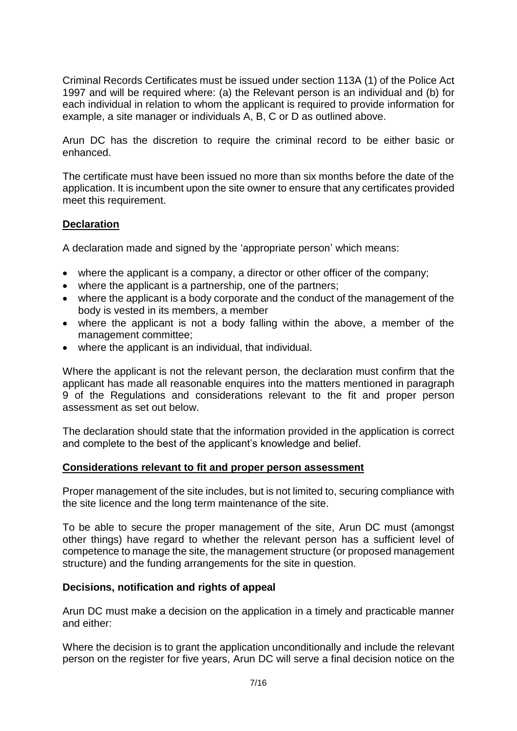Criminal Records Certificates must be issued under section 113A (1) of the Police Act 1997 and will be required where: (a) the Relevant person is an individual and (b) for each individual in relation to whom the applicant is required to provide information for example, a site manager or individuals A, B, C or D as outlined above.

Arun DC has the discretion to require the criminal record to be either basic or enhanced.

The certificate must have been issued no more than six months before the date of the application. It is incumbent upon the site owner to ensure that any certificates provided meet this requirement.

## **Declaration**

A declaration made and signed by the 'appropriate person' which means:

- where the applicant is a company, a director or other officer of the company;
- where the applicant is a partnership, one of the partners;
- where the applicant is a body corporate and the conduct of the management of the body is vested in its members, a member
- where the applicant is not a body falling within the above, a member of the management committee;
- where the applicant is an individual, that individual.

Where the applicant is not the relevant person, the declaration must confirm that the applicant has made all reasonable enquires into the matters mentioned in paragraph 9 of the Regulations and considerations relevant to the fit and proper person assessment as set out below.

The declaration should state that the information provided in the application is correct and complete to the best of the applicant's knowledge and belief.

## **Considerations relevant to fit and proper person assessment**

Proper management of the site includes, but is not limited to, securing compliance with the site licence and the long term maintenance of the site.

To be able to secure the proper management of the site, Arun DC must (amongst other things) have regard to whether the relevant person has a sufficient level of competence to manage the site, the management structure (or proposed management structure) and the funding arrangements for the site in question.

## **Decisions, notification and rights of appeal**

Arun DC must make a decision on the application in a timely and practicable manner and either:

Where the decision is to grant the application unconditionally and include the relevant person on the register for five years, Arun DC will serve a final decision notice on the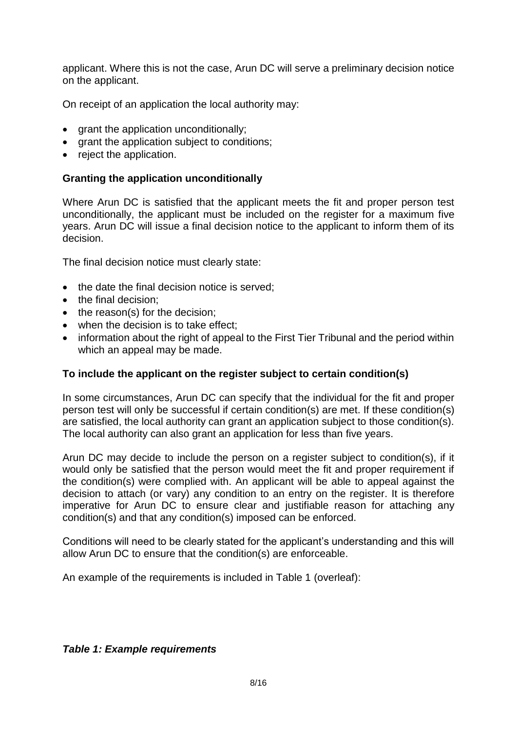applicant. Where this is not the case, Arun DC will serve a preliminary decision notice on the applicant.

On receipt of an application the local authority may:

- $\bullet$  grant the application unconditionally;
- arant the application subiect to conditions:
- reject the application.

## **Granting the application unconditionally**

Where Arun DC is satisfied that the applicant meets the fit and proper person test unconditionally, the applicant must be included on the register for a maximum five years. Arun DC will issue a final decision notice to the applicant to inform them of its decision.

The final decision notice must clearly state:

- the date the final decision notice is served:
- the final decision:
- the reason(s) for the decision;
- when the decision is to take effect;
- information about the right of appeal to the First Tier Tribunal and the period within which an appeal may be made.

## **To include the applicant on the register subject to certain condition(s)**

In some circumstances, Arun DC can specify that the individual for the fit and proper person test will only be successful if certain condition(s) are met. If these condition(s) are satisfied, the local authority can grant an application subject to those condition(s). The local authority can also grant an application for less than five years.

Arun DC may decide to include the person on a register subject to condition(s), if it would only be satisfied that the person would meet the fit and proper requirement if the condition(s) were complied with. An applicant will be able to appeal against the decision to attach (or vary) any condition to an entry on the register. It is therefore imperative for Arun DC to ensure clear and justifiable reason for attaching any condition(s) and that any condition(s) imposed can be enforced.

Conditions will need to be clearly stated for the applicant's understanding and this will allow Arun DC to ensure that the condition(s) are enforceable.

An example of the requirements is included in Table 1 (overleaf):

## *Table 1: Example requirements*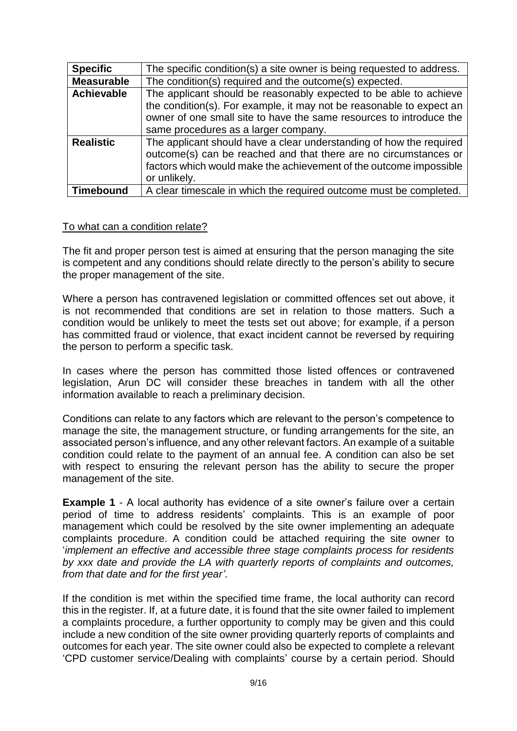| <b>Specific</b>   | The specific condition(s) a site owner is being requested to address.                                                                                                                                                                                    |  |  |
|-------------------|----------------------------------------------------------------------------------------------------------------------------------------------------------------------------------------------------------------------------------------------------------|--|--|
| <b>Measurable</b> | The condition(s) required and the outcome(s) expected.                                                                                                                                                                                                   |  |  |
| <b>Achievable</b> | The applicant should be reasonably expected to be able to achieve<br>the condition(s). For example, it may not be reasonable to expect an<br>owner of one small site to have the same resources to introduce the<br>same procedures as a larger company. |  |  |
| <b>Realistic</b>  | The applicant should have a clear understanding of how the required<br>outcome(s) can be reached and that there are no circumstances or<br>factors which would make the achievement of the outcome impossible<br>or unlikely.                            |  |  |
| <b>Timebound</b>  | A clear timescale in which the required outcome must be completed.                                                                                                                                                                                       |  |  |

## To what can a condition relate?

The fit and proper person test is aimed at ensuring that the person managing the site is competent and any conditions should relate directly to the person's ability to secure the proper management of the site.

Where a person has contravened legislation or committed offences set out above, it is not recommended that conditions are set in relation to those matters. Such a condition would be unlikely to meet the tests set out above; for example, if a person has committed fraud or violence, that exact incident cannot be reversed by requiring the person to perform a specific task.

In cases where the person has committed those listed offences or contravened legislation, Arun DC will consider these breaches in tandem with all the other information available to reach a preliminary decision.

Conditions can relate to any factors which are relevant to the person's competence to manage the site, the management structure, or funding arrangements for the site, an associated person's influence, and any other relevant factors. An example of a suitable condition could relate to the payment of an annual fee. A condition can also be set with respect to ensuring the relevant person has the ability to secure the proper management of the site.

**Example 1** - A local authority has evidence of a site owner's failure over a certain period of time to address residents' complaints. This is an example of poor management which could be resolved by the site owner implementing an adequate complaints procedure. A condition could be attached requiring the site owner to '*implement an effective and accessible three stage complaints process for residents by xxx date and provide the LA with quarterly reports of complaints and outcomes, from that date and for the first year'*.

If the condition is met within the specified time frame, the local authority can record this in the register. If, at a future date, it is found that the site owner failed to implement a complaints procedure, a further opportunity to comply may be given and this could include a new condition of the site owner providing quarterly reports of complaints and outcomes for each year. The site owner could also be expected to complete a relevant 'CPD customer service/Dealing with complaints' course by a certain period. Should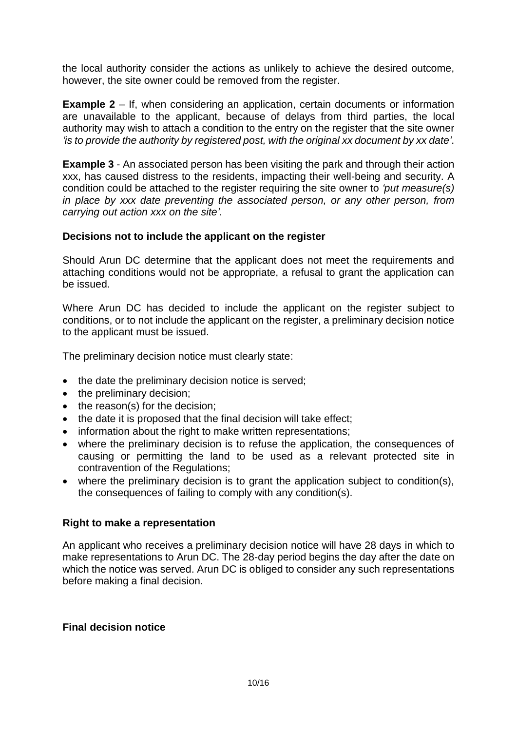the local authority consider the actions as unlikely to achieve the desired outcome, however, the site owner could be removed from the register.

**Example 2** – If, when considering an application, certain documents or information are unavailable to the applicant, because of delays from third parties, the local authority may wish to attach a condition to the entry on the register that the site owner *'is to provide the authority by registered post, with the original xx document by xx date'*.

**Example 3** - An associated person has been visiting the park and through their action xxx, has caused distress to the residents, impacting their well-being and security. A condition could be attached to the register requiring the site owner to *'put measure(s) in place by xxx date preventing the associated person, or any other person, from carrying out action xxx on the site'.*

## **Decisions not to include the applicant on the register**

Should Arun DC determine that the applicant does not meet the requirements and attaching conditions would not be appropriate, a refusal to grant the application can be issued.

Where Arun DC has decided to include the applicant on the register subject to conditions, or to not include the applicant on the register, a preliminary decision notice to the applicant must be issued.

The preliminary decision notice must clearly state:

- the date the preliminary decision notice is served;
- the preliminary decision;
- the reason(s) for the decision:
- the date it is proposed that the final decision will take effect;
- information about the right to make written representations;
- where the preliminary decision is to refuse the application, the consequences of causing or permitting the land to be used as a relevant protected site in contravention of the Regulations;
- where the preliminary decision is to grant the application subject to condition(s), the consequences of failing to comply with any condition(s).

#### **Right to make a representation**

An applicant who receives a preliminary decision notice will have 28 days in which to make representations to Arun DC. The 28-day period begins the day after the date on which the notice was served. Arun DC is obliged to consider any such representations before making a final decision.

#### **Final decision notice**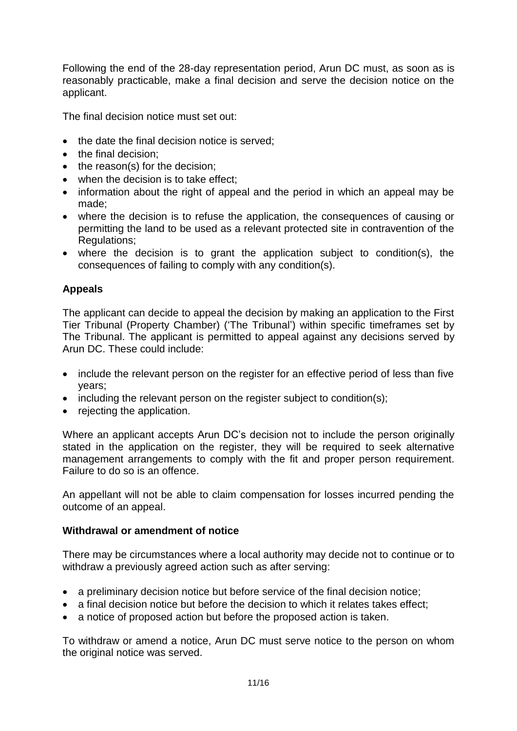Following the end of the 28-day representation period, Arun DC must, as soon as is reasonably practicable, make a final decision and serve the decision notice on the applicant.

The final decision notice must set out:

- the date the final decision notice is served:
- the final decision:
- the reason(s) for the decision;
- when the decision is to take effect:
- information about the right of appeal and the period in which an appeal may be made;
- where the decision is to refuse the application, the consequences of causing or permitting the land to be used as a relevant protected site in contravention of the Regulations;
- where the decision is to grant the application subject to condition(s), the consequences of failing to comply with any condition(s).

# **Appeals**

The applicant can decide to appeal the decision by making an application to the First Tier Tribunal (Property Chamber) ('The Tribunal') within specific timeframes set by The Tribunal. The applicant is permitted to appeal against any decisions served by Arun DC. These could include:

- include the relevant person on the register for an effective period of less than five years;
- including the relevant person on the register subject to condition(s);
- rejecting the application.

Where an applicant accepts Arun DC's decision not to include the person originally stated in the application on the register, they will be required to seek alternative management arrangements to comply with the fit and proper person requirement. Failure to do so is an offence.

An appellant will not be able to claim compensation for losses incurred pending the outcome of an appeal.

## **Withdrawal or amendment of notice**

There may be circumstances where a local authority may decide not to continue or to withdraw a previously agreed action such as after serving:

- a preliminary decision notice but before service of the final decision notice;
- a final decision notice but before the decision to which it relates takes effect;
- a notice of proposed action but before the proposed action is taken.

To withdraw or amend a notice, Arun DC must serve notice to the person on whom the original notice was served.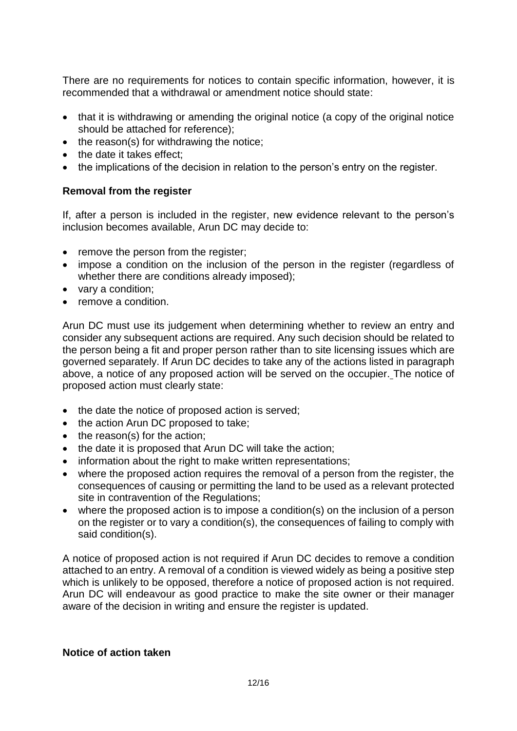There are no requirements for notices to contain specific information, however, it is recommended that a withdrawal or amendment notice should state:

- that it is withdrawing or amending the original notice (a copy of the original notice should be attached for reference);
- the reason(s) for withdrawing the notice:
- the date it takes effect;
- the implications of the decision in relation to the person's entry on the register.

## **Removal from the register**

If, after a person is included in the register, new evidence relevant to the person's inclusion becomes available, Arun DC may decide to:

- remove the person from the register:
- impose a condition on the inclusion of the person in the register (regardless of whether there are conditions already imposed);
- vary a condition;
- remove a condition.

Arun DC must use its judgement when determining whether to review an entry and consider any subsequent actions are required. Any such decision should be related to the person being a fit and proper person rather than to site licensing issues which are governed separately. If Arun DC decides to take any of the actions listed in paragraph above, a notice of any proposed action will be served on the occupier. The notice of proposed action must clearly state:

- the date the notice of proposed action is served;
- the action Arun DC proposed to take:
- $\bullet$  the reason(s) for the action;
- the date it is proposed that Arun DC will take the action;
- information about the right to make written representations;
- where the proposed action requires the removal of a person from the register, the consequences of causing or permitting the land to be used as a relevant protected site in contravention of the Regulations;
- where the proposed action is to impose a condition(s) on the inclusion of a person on the register or to vary a condition(s), the consequences of failing to comply with said condition(s).

A notice of proposed action is not required if Arun DC decides to remove a condition attached to an entry. A removal of a condition is viewed widely as being a positive step which is unlikely to be opposed, therefore a notice of proposed action is not required. Arun DC will endeavour as good practice to make the site owner or their manager aware of the decision in writing and ensure the register is updated.

### **Notice of action taken**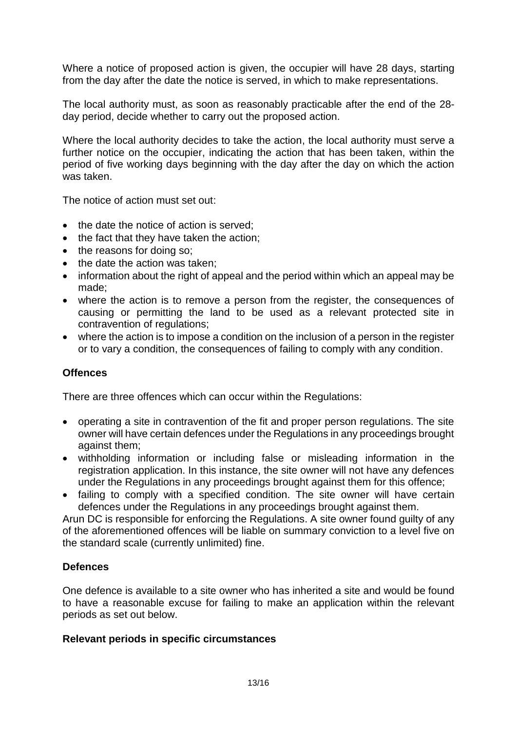Where a notice of proposed action is given, the occupier will have 28 days, starting from the day after the date the notice is served, in which to make representations.

The local authority must, as soon as reasonably practicable after the end of the 28 day period, decide whether to carry out the proposed action.

Where the local authority decides to take the action, the local authority must serve a further notice on the occupier, indicating the action that has been taken, within the period of five working days beginning with the day after the day on which the action was taken.

The notice of action must set out:

- the date the notice of action is served:
- the fact that they have taken the action;
- the reasons for doing so;
- the date the action was taken:
- information about the right of appeal and the period within which an appeal may be made;
- where the action is to remove a person from the register, the consequences of causing or permitting the land to be used as a relevant protected site in contravention of regulations;
- where the action is to impose a condition on the inclusion of a person in the register or to vary a condition, the consequences of failing to comply with any condition.

## **Offences**

There are three offences which can occur within the Regulations:

- operating a site in contravention of the fit and proper person regulations. The site owner will have certain defences under the Regulations in any proceedings brought against them;
- withholding information or including false or misleading information in the registration application. In this instance, the site owner will not have any defences under the Regulations in any proceedings brought against them for this offence;
- failing to comply with a specified condition. The site owner will have certain defences under the Regulations in any proceedings brought against them.

Arun DC is responsible for enforcing the Regulations. A site owner found guilty of any of the aforementioned offences will be liable on summary conviction to a level five on the standard scale (currently unlimited) fine.

## **Defences**

One defence is available to a site owner who has inherited a site and would be found to have a reasonable excuse for failing to make an application within the relevant periods as set out below.

#### **Relevant periods in specific circumstances**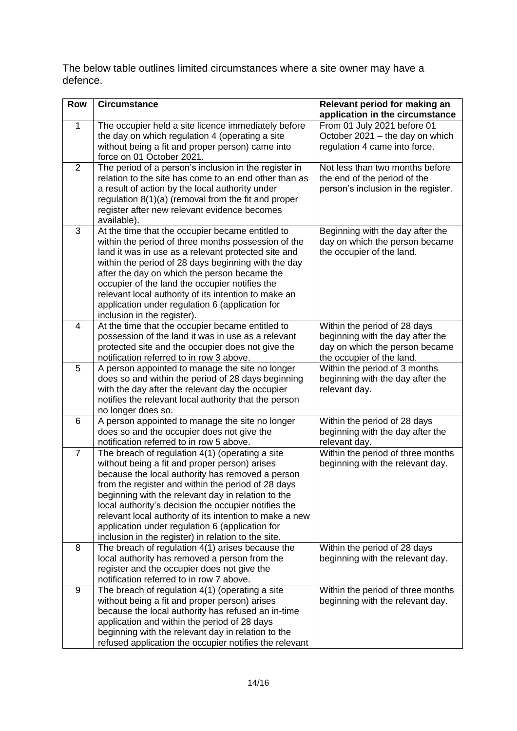The below table outlines limited circumstances where a site owner may have a defence.

| <b>Row</b>     | <b>Circumstance</b>                                                                                                                                                                                                                                                                                                                                                                                                                                                                           | Relevant period for making an<br>application in the circumstance                                                                |
|----------------|-----------------------------------------------------------------------------------------------------------------------------------------------------------------------------------------------------------------------------------------------------------------------------------------------------------------------------------------------------------------------------------------------------------------------------------------------------------------------------------------------|---------------------------------------------------------------------------------------------------------------------------------|
| 1              | The occupier held a site licence immediately before<br>the day on which regulation 4 (operating a site<br>without being a fit and proper person) came into<br>force on 01 October 2021.                                                                                                                                                                                                                                                                                                       | From 01 July 2021 before 01<br>October 2021 - the day on which<br>regulation 4 came into force.                                 |
| $\overline{2}$ | The period of a person's inclusion in the register in<br>relation to the site has come to an end other than as<br>a result of action by the local authority under<br>regulation 8(1)(a) (removal from the fit and proper<br>register after new relevant evidence becomes<br>available).                                                                                                                                                                                                       | Not less than two months before<br>the end of the period of the<br>person's inclusion in the register.                          |
| 3              | At the time that the occupier became entitled to<br>within the period of three months possession of the<br>land it was in use as a relevant protected site and<br>within the period of 28 days beginning with the day<br>after the day on which the person became the<br>occupier of the land the occupier notifies the<br>relevant local authority of its intention to make an<br>application under regulation 6 (application for<br>inclusion in the register).                             | Beginning with the day after the<br>day on which the person became<br>the occupier of the land.                                 |
| $\overline{4}$ | At the time that the occupier became entitled to<br>possession of the land it was in use as a relevant<br>protected site and the occupier does not give the<br>notification referred to in row 3 above.                                                                                                                                                                                                                                                                                       | Within the period of 28 days<br>beginning with the day after the<br>day on which the person became<br>the occupier of the land. |
| 5              | A person appointed to manage the site no longer<br>does so and within the period of 28 days beginning<br>with the day after the relevant day the occupier<br>notifies the relevant local authority that the person<br>no longer does so.                                                                                                                                                                                                                                                      | Within the period of 3 months<br>beginning with the day after the<br>relevant day.                                              |
| 6              | A person appointed to manage the site no longer<br>does so and the occupier does not give the<br>notification referred to in row 5 above.                                                                                                                                                                                                                                                                                                                                                     | Within the period of 28 days<br>beginning with the day after the<br>relevant day.                                               |
| $\overline{7}$ | The breach of regulation 4(1) (operating a site<br>without being a fit and proper person) arises<br>because the local authority has removed a person<br>from the register and within the period of 28 days<br>beginning with the relevant day in relation to the<br>local authority's decision the occupier notifies the<br>relevant local authority of its intention to make a new<br>application under regulation 6 (application for<br>inclusion in the register) in relation to the site. | Within the period of three months<br>beginning with the relevant day.                                                           |
| 8              | The breach of regulation 4(1) arises because the<br>local authority has removed a person from the<br>register and the occupier does not give the<br>notification referred to in row 7 above.                                                                                                                                                                                                                                                                                                  | Within the period of 28 days<br>beginning with the relevant day.                                                                |
| 9              | The breach of regulation 4(1) (operating a site<br>without being a fit and proper person) arises<br>because the local authority has refused an in-time<br>application and within the period of 28 days<br>beginning with the relevant day in relation to the<br>refused application the occupier notifies the relevant                                                                                                                                                                        | Within the period of three months<br>beginning with the relevant day.                                                           |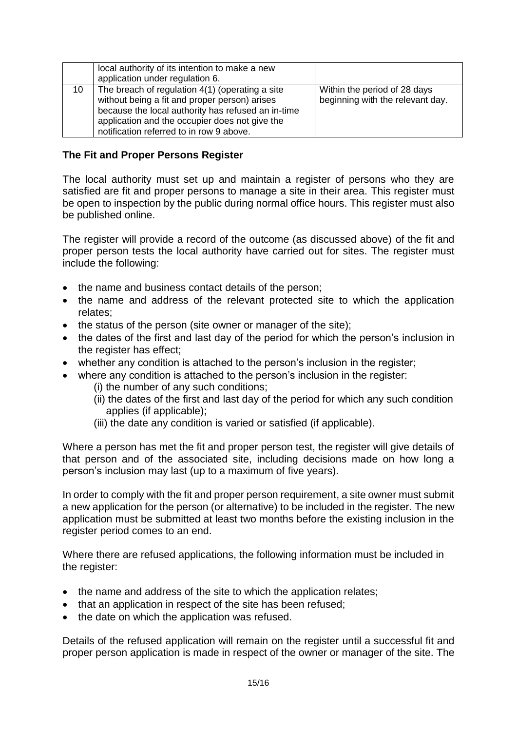|    | local authority of its intention to make a new<br>application under regulation 6.                                                                                                                                                                    |                                                                  |
|----|------------------------------------------------------------------------------------------------------------------------------------------------------------------------------------------------------------------------------------------------------|------------------------------------------------------------------|
| 10 | The breach of regulation 4(1) (operating a site<br>without being a fit and proper person) arises<br>because the local authority has refused an in-time<br>application and the occupier does not give the<br>notification referred to in row 9 above. | Within the period of 28 days<br>beginning with the relevant day. |

## **The Fit and Proper Persons Register**

The local authority must set up and maintain a register of persons who they are satisfied are fit and proper persons to manage a site in their area. This register must be open to inspection by the public during normal office hours. This register must also be published online.

The register will provide a record of the outcome (as discussed above) of the fit and proper person tests the local authority have carried out for sites. The register must include the following:

- the name and business contact details of the person;
- the name and address of the relevant protected site to which the application relates;
- $\bullet$  the status of the person (site owner or manager of the site);
- the dates of the first and last day of the period for which the person's inclusion in the register has effect;
- whether any condition is attached to the person's inclusion in the register;
- where any condition is attached to the person's inclusion in the register:
	- (i) the number of any such conditions;
	- (ii) the dates of the first and last day of the period for which any such condition applies (if applicable);
	- (iii) the date any condition is varied or satisfied (if applicable).

Where a person has met the fit and proper person test, the register will give details of that person and of the associated site, including decisions made on how long a person's inclusion may last (up to a maximum of five years).

In order to comply with the fit and proper person requirement, a site owner must submit a new application for the person (or alternative) to be included in the register. The new application must be submitted at least two months before the existing inclusion in the register period comes to an end.

Where there are refused applications, the following information must be included in the register:

- the name and address of the site to which the application relates;
- that an application in respect of the site has been refused;
- the date on which the application was refused.

Details of the refused application will remain on the register until a successful fit and proper person application is made in respect of the owner or manager of the site. The